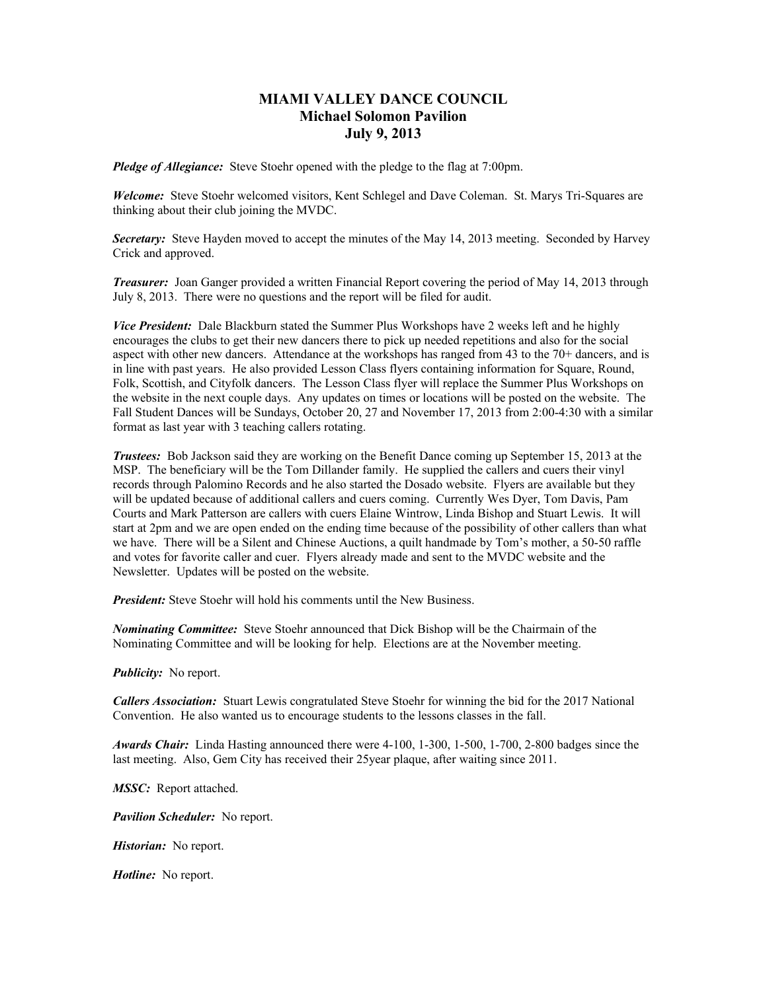## **MIAMI VALLEY DANCE COUNCIL Michael Solomon Pavilion July 9, 2013**

*Pledge of Allegiance:* Steve Stoehr opened with the pledge to the flag at 7:00pm.

*Welcome:* Steve Stoehr welcomed visitors, Kent Schlegel and Dave Coleman. St. Marys Tri-Squares are thinking about their club joining the MVDC.

*Secretary:* Steve Hayden moved to accept the minutes of the May 14, 2013 meeting. Seconded by Harvey Crick and approved.

*Treasurer:* Joan Ganger provided a written Financial Report covering the period of May 14, 2013 through July 8, 2013. There were no questions and the report will be filed for audit.

*Vice President:* Dale Blackburn stated the Summer Plus Workshops have 2 weeks left and he highly encourages the clubs to get their new dancers there to pick up needed repetitions and also for the social aspect with other new dancers. Attendance at the workshops has ranged from 43 to the 70+ dancers, and is in line with past years. He also provided Lesson Class flyers containing information for Square, Round, Folk, Scottish, and Cityfolk dancers. The Lesson Class flyer will replace the Summer Plus Workshops on the website in the next couple days. Any updates on times or locations will be posted on the website. The Fall Student Dances will be Sundays, October 20, 27 and November 17, 2013 from 2:00-4:30 with a similar format as last year with 3 teaching callers rotating.

*Trustees:* Bob Jackson said they are working on the Benefit Dance coming up September 15, 2013 at the MSP. The beneficiary will be the Tom Dillander family. He supplied the callers and cuers their vinyl records through Palomino Records and he also started the Dosado website. Flyers are available but they will be updated because of additional callers and cuers coming. Currently Wes Dyer, Tom Davis, Pam Courts and Mark Patterson are callers with cuers Elaine Wintrow, Linda Bishop and Stuart Lewis. It will start at 2pm and we are open ended on the ending time because of the possibility of other callers than what we have. There will be a Silent and Chinese Auctions, a quilt handmade by Tom's mother, a 50-50 raffle and votes for favorite caller and cuer. Flyers already made and sent to the MVDC website and the Newsletter. Updates will be posted on the website.

*President:* Steve Stoehr will hold his comments until the New Business.

*Nominating Committee:* Steve Stoehr announced that Dick Bishop will be the Chairmain of the Nominating Committee and will be looking for help. Elections are at the November meeting.

*Publicity:* No report.

*Callers Association:* Stuart Lewis congratulated Steve Stoehr for winning the bid for the 2017 National Convention. He also wanted us to encourage students to the lessons classes in the fall.

*Awards Chair:* Linda Hasting announced there were 4-100, 1-300, 1-500, 1-700, 2-800 badges since the last meeting. Also, Gem City has received their 25year plaque, after waiting since 2011.

*MSSC:* Report attached.

*Pavilion Scheduler:* No report.

*Historian:* No report.

*Hotline:* No report.